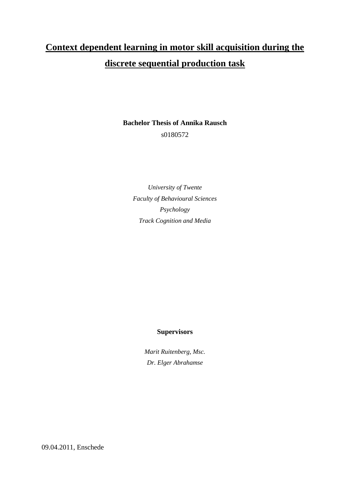# **Context dependent learning in motor skill acquisition during the discrete sequential production task**

**Bachelor Thesis of Annika Rausch** s0180572

*University of Twente Faculty of Behavioural Sciences Psychology Track Cognition and Media*

#### **Supervisors**

*Marit Ruitenberg, Msc. Dr. Elger Abrahamse*

09.04.2011, Enschede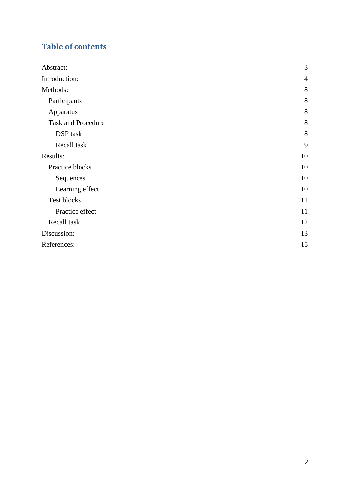## **Table of contents**

| Abstract:                 | 3              |
|---------------------------|----------------|
| Introduction:             | $\overline{4}$ |
| Methods:                  | 8              |
| Participants              | 8              |
| Apparatus                 | 8              |
| <b>Task and Procedure</b> | 8              |
| DSP task                  | 8              |
| Recall task               | 9              |
| Results:                  | 10             |
| Practice blocks           | 10             |
| Sequences                 | 10             |
| Learning effect           | 10             |
| Test blocks               | 11             |
| Practice effect           | 11             |
| Recall task               | 12             |
| Discussion:               | 13             |
| References:               | 15             |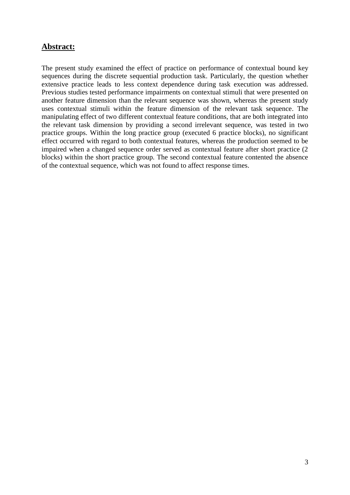## <span id="page-2-0"></span>**Abstract:**

The present study examined the effect of practice on performance of contextual bound key sequences during the discrete sequential production task. Particularly, the question whether extensive practice leads to less context dependence during task execution was addressed. Previous studies tested performance impairments on contextual stimuli that were presented on another feature dimension than the relevant sequence was shown, whereas the present study uses contextual stimuli within the feature dimension of the relevant task sequence. The manipulating effect of two different contextual feature conditions, that are both integrated into the relevant task dimension by providing a second irrelevant sequence, was tested in two practice groups. Within the long practice group (executed 6 practice blocks), no significant effect occurred with regard to both contextual features, whereas the production seemed to be impaired when a changed sequence order served as contextual feature after short practice (2 blocks) within the short practice group. The second contextual feature contented the absence of the contextual sequence, which was not found to affect response times.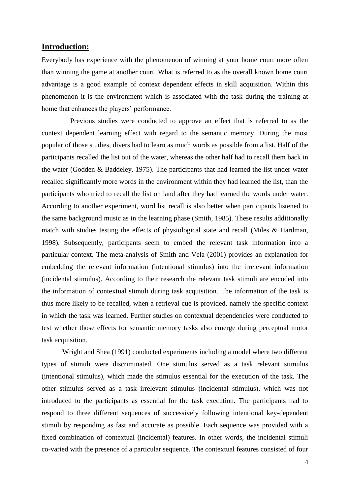## <span id="page-3-0"></span>**Introduction:**

Everybody has experience with the phenomenon of winning at your home court more often than winning the game at another court. What is referred to as the overall known home court advantage is a good example of context dependent effects in skill acquisition. Within this phenomenon it is the environment which is associated with the task during the training at home that enhances the players' performance.

Previous studies were conducted to approve an effect that is referred to as the context dependent learning effect with regard to the semantic memory. During the most popular of those studies, divers had to learn as much words as possible from a list. Half of the participants recalled the list out of the water, whereas the other half had to recall them back in the water (Godden & Baddeley, 1975). The participants that had learned the list under water recalled significantly more words in the environment within they had learned the list, than the participants who tried to recall the list on land after they had learned the words under water. According to another experiment, word list recall is also better when participants listened to the same background music as in the learning phase (Smith, 1985). These results additionally match with studies testing the effects of physiological state and recall (Miles & Hardman, 1998). Subsequently, participants seem to embed the relevant task information into a particular context. The meta-analysis of Smith and Vela (2001) provides an explanation for embedding the relevant information (intentional stimulus) into the irrelevant information (incidental stimulus). According to their research the relevant task stimuli are encoded into the information of contextual stimuli during task acquisition. The information of the task is thus more likely to be recalled, when a retrieval cue is provided, namely the specific context in which the task was learned. Further studies on contextual dependencies were conducted to test whether those effects for semantic memory tasks also emerge during perceptual motor task acquisition.

Wright and Shea (1991) conducted experiments including a model where two different types of stimuli were discriminated. One stimulus served as a task relevant stimulus (intentional stimulus), which made the stimulus essential for the execution of the task. The other stimulus served as a task irrelevant stimulus (incidental stimulus), which was not introduced to the participants as essential for the task execution. The participants had to respond to three different sequences of successively following intentional key-dependent stimuli by responding as fast and accurate as possible. Each sequence was provided with a fixed combination of contextual (incidental) features. In other words, the incidental stimuli co-varied with the presence of a particular sequence. The contextual features consisted of four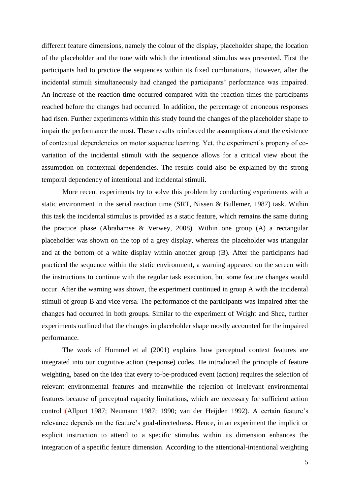different feature dimensions, namely the colour of the display, placeholder shape, the location of the placeholder and the tone with which the intentional stimulus was presented. First the participants had to practice the sequences within its fixed combinations. However, after the incidental stimuli simultaneously had changed the participants' performance was impaired. An increase of the reaction time occurred compared with the reaction times the participants reached before the changes had occurred. In addition, the percentage of erroneous responses had risen. Further experiments within this study found the changes of the placeholder shape to impair the performance the most. These results reinforced the assumptions about the existence of contextual dependencies on motor sequence learning. Yet, the experiment's property of covariation of the incidental stimuli with the sequence allows for a critical view about the assumption on contextual dependencies. The results could also be explained by the strong temporal dependency of intentional and incidental stimuli.

More recent experiments try to solve this problem by conducting experiments with a static environment in the serial reaction time (SRT, Nissen & Bullemer, 1987) task. Within this task the incidental stimulus is provided as a static feature, which remains the same during the practice phase (Abrahamse & Verwey, 2008). Within one group (A) a rectangular placeholder was shown on the top of a grey display, whereas the placeholder was triangular and at the bottom of a white display within another group (B). After the participants had practiced the sequence within the static environment, a warning appeared on the screen with the instructions to continue with the regular task execution, but some feature changes would occur. After the warning was shown, the experiment continued in group A with the incidental stimuli of group B and vice versa. The performance of the participants was impaired after the changes had occurred in both groups. Similar to the experiment of Wright and Shea, further experiments outlined that the changes in placeholder shape mostly accounted for the impaired performance.

The work of Hommel et al (2001) explains how perceptual context features are integrated into our cognitive action (response) codes. He introduced the principle of feature weighting, based on the idea that every to-be-produced event (action) requires the selection of relevant environmental features and meanwhile the rejection of irrelevant environmental features because of perceptual capacity limitations, which are necessary for sufficient action control (Allport 1987; Neumann 1987; 1990; van der Heijden 1992). A certain feature's relevance depends on the feature's goal-directedness. Hence, in an experiment the implicit or explicit instruction to attend to a specific stimulus within its dimension enhances the integration of a specific feature dimension. According to the attentional-intentional weighting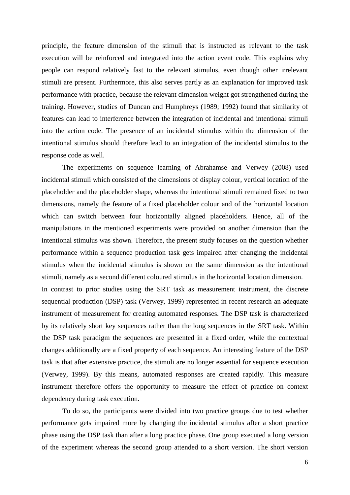principle, the feature dimension of the stimuli that is instructed as relevant to the task execution will be reinforced and integrated into the action event code. This explains why people can respond relatively fast to the relevant stimulus, even though other irrelevant stimuli are present. Furthermore, this also serves partly as an explanation for improved task performance with practice, because the relevant dimension weight got strengthened during the training. However, studies of Duncan and Humphreys (1989; 1992) found that similarity of features can lead to interference between the integration of incidental and intentional stimuli into the action code. The presence of an incidental stimulus within the dimension of the intentional stimulus should therefore lead to an integration of the incidental stimulus to the response code as well.

The experiments on sequence learning of Abrahamse and Verwey (2008) used incidental stimuli which consisted of the dimensions of display colour, vertical location of the placeholder and the placeholder shape, whereas the intentional stimuli remained fixed to two dimensions, namely the feature of a fixed placeholder colour and of the horizontal location which can switch between four horizontally aligned placeholders. Hence, all of the manipulations in the mentioned experiments were provided on another dimension than the intentional stimulus was shown. Therefore, the present study focuses on the question whether performance within a sequence production task gets impaired after changing the incidental stimulus when the incidental stimulus is shown on the same dimension as the intentional stimuli, namely as a second different coloured stimulus in the horizontal location dimension. In contrast to prior studies using the SRT task as measurement instrument, the discrete sequential production (DSP) task (Verwey, 1999) represented in recent research an adequate instrument of measurement for creating automated responses. The DSP task is characterized by its relatively short key sequences rather than the long sequences in the SRT task. Within the DSP task paradigm the sequences are presented in a fixed order, while the contextual changes additionally are a fixed property of each sequence. An interesting feature of the DSP task is that after extensive practice, the stimuli are no longer essential for sequence execution (Verwey, 1999). By this means, automated responses are created rapidly. This measure instrument therefore offers the opportunity to measure the effect of practice on context dependency during task execution.

To do so, the participants were divided into two practice groups due to test whether performance gets impaired more by changing the incidental stimulus after a short practice phase using the DSP task than after a long practice phase. One group executed a long version of the experiment whereas the second group attended to a short version. The short version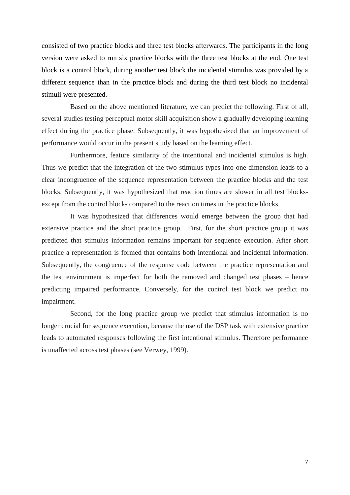consisted of two practice blocks and three test blocks afterwards. The participants in the long version were asked to run six practice blocks with the three test blocks at the end. One test block is a control block, during another test block the incidental stimulus was provided by a different sequence than in the practice block and during the third test block no incidental stimuli were presented.

Based on the above mentioned literature, we can predict the following. First of all, several studies testing perceptual motor skill acquisition show a gradually developing learning effect during the practice phase. Subsequently, it was hypothesized that an improvement of performance would occur in the present study based on the learning effect.

Furthermore, feature similarity of the intentional and incidental stimulus is high. Thus we predict that the integration of the two stimulus types into one dimension leads to a clear incongruence of the sequence representation between the practice blocks and the test blocks. Subsequently, it was hypothesized that reaction times are slower in all test blocksexcept from the control block- compared to the reaction times in the practice blocks.

It was hypothesized that differences would emerge between the group that had extensive practice and the short practice group. First, for the short practice group it was predicted that stimulus information remains important for sequence execution. After short practice a representation is formed that contains both intentional and incidental information. Subsequently, the congruence of the response code between the practice representation and the test environment is imperfect for both the removed and changed test phases – hence predicting impaired performance. Conversely, for the control test block we predict no impairment.

Second, for the long practice group we predict that stimulus information is no longer crucial for sequence execution, because the use of the DSP task with extensive practice leads to automated responses following the first intentional stimulus. Therefore performance is unaffected across test phases (see Verwey, 1999).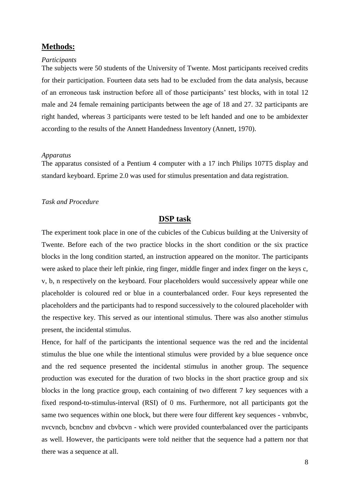## <span id="page-7-0"></span>**Methods:**

#### <span id="page-7-1"></span>*Participants*

The subjects were 50 students of the University of Twente. Most participants received credits for their participation. Fourteen data sets had to be excluded from the data analysis, because of an erroneous task instruction before all of those participants' test blocks, with in total 12 male and 24 female remaining participants between the age of 18 and 27. 32 participants are right handed, whereas 3 participants were tested to be left handed and one to be ambidexter according to the results of the Annett Handedness Inventory (Annett, 1970).

#### <span id="page-7-2"></span>*Apparatus*

The apparatus consisted of a Pentium 4 computer with a 17 inch Philips 107T5 display and standard keyboard. Eprime 2.0 was used for stimulus presentation and data registration.

#### <span id="page-7-3"></span>*Task and Procedure*

## **DSP task**

<span id="page-7-4"></span>The experiment took place in one of the cubicles of the Cubicus building at the University of Twente. Before each of the two practice blocks in the short condition or the six practice blocks in the long condition started, an instruction appeared on the monitor. The participants were asked to place their left pinkie, ring finger, middle finger and index finger on the keys c, v, b, n respectively on the keyboard. Four placeholders would successively appear while one placeholder is coloured red or blue in a counterbalanced order. Four keys represented the placeholders and the participants had to respond successively to the coloured placeholder with the respective key. This served as our intentional stimulus. There was also another stimulus present, the incidental stimulus.

Hence, for half of the participants the intentional sequence was the red and the incidental stimulus the blue one while the intentional stimulus were provided by a blue sequence once and the red sequence presented the incidental stimulus in another group. The sequence production was executed for the duration of two blocks in the short practice group and six blocks in the long practice group, each containing of two different 7 key sequences with a fixed respond-to-stimulus-interval (RSI) of 0 ms. Furthermore, not all participants got the same two sequences within one block, but there were four different key sequences - vnbnvbc, nvcvncb, bcncbnv and cbvbcvn - which were provided counterbalanced over the participants as well. However, the participants were told neither that the sequence had a pattern nor that there was a sequence at all.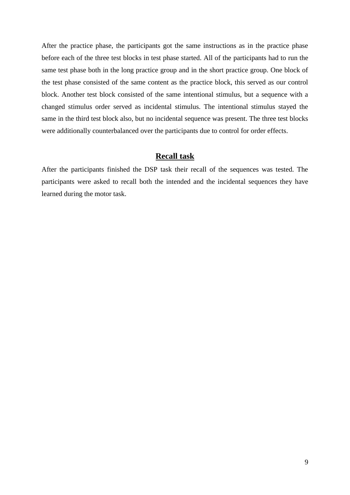After the practice phase, the participants got the same instructions as in the practice phase before each of the three test blocks in test phase started. All of the participants had to run the same test phase both in the long practice group and in the short practice group. One block of the test phase consisted of the same content as the practice block, this served as our control block. Another test block consisted of the same intentional stimulus, but a sequence with a changed stimulus order served as incidental stimulus. The intentional stimulus stayed the same in the third test block also, but no incidental sequence was present. The three test blocks were additionally counterbalanced over the participants due to control for order effects.

## **Recall task**

<span id="page-8-0"></span>After the participants finished the DSP task their recall of the sequences was tested. The participants were asked to recall both the intended and the incidental sequences they have learned during the motor task.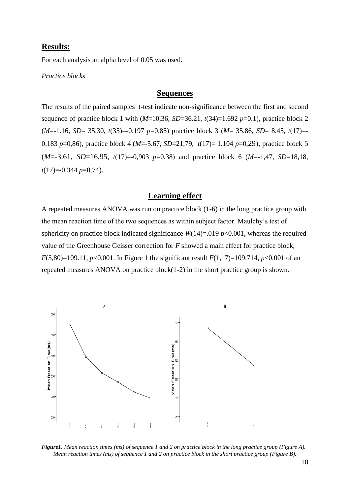## <span id="page-9-0"></span>**Results:**

For each analysis an alpha level of 0.05 was used.

<span id="page-9-1"></span>*Practice blocks*

#### **Sequences**

<span id="page-9-2"></span>The results of the paired samples t-test indicate non-significance between the first and second sequence of practice block 1 with  $(M=10,36, SD=36.21, t(34)=1.692 p=0.1)$ , practice block 2 (*M*=-1.16, *SD*= 35.30, *t*(35)=-0.197 *p*=0.85) practice block 3 (*M*= 35.86, *SD*= 8.45, *t*(17)=- 0.183 *p*=0,86), practice block 4 (*M*=-5.67, *SD*=21,79, *t*(17)= 1.104 *p*=0,29), practice block 5 (*M*=-3.61, *SD*=16,95, *t*(17)=-0,903 *p*=0.38) and practice block 6 (*M*=-1,47, *SD*=18,18, *t*(17)=-0.344 *p*=0,74).

## **Learning effect**

<span id="page-9-3"></span>A repeated measures ANOVA was run on practice block (1-6) in the long practice group with the mean reaction time of the two sequences as within subject factor. Maulchy's test of sphericity on practice block indicated significance  $W(14)=0.019 \, p<0.001$ , whereas the required value of the Greenhouse Geisser correction for *F* showed a main effect for practice block, *F*(5,80)=109.11, *p*<0.001. In Figure 1 the significant result *F*(1,17)=109.714, *p*<0.001 of an repeated measures ANOVA on practice block(1-2) in the short practice group is shown.



*Figure1. Mean reaction times (ms) of sequence 1 and 2 on practice block in the long practice group (Figure A). Mean reaction times (ms) of sequence 1 and 2 on practice block in the short practice group (Figure B).*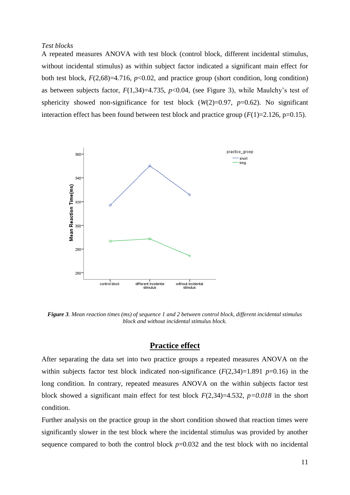#### <span id="page-10-0"></span>*Test blocks*

A repeated measures ANOVA with test block (control block, different incidental stimulus, without incidental stimulus) as within subject factor indicated a significant main effect for both test block, *F*(2,68)=4.716, *p*<0.02, and practice group (short condition, long condition) as between subjects factor,  $F(1,34)=4.735$ ,  $p<0.04$ , (see Figure 3), while Maulchy's test of sphericity showed non-significance for test block  $(W(2)=0.97, p=0.62)$ . No significant interaction effect has been found between test block and practice group  $(F(1)=2.126, p=0.15)$ .



*Figure 3. Mean reaction times (ms) of sequence 1 and 2 between control block, different incidental stimulus block and without incidental stimulus block.*

## **Practice effect**

<span id="page-10-1"></span>After separating the data set into two practice groups a repeated measures ANOVA on the within subjects factor test block indicated non-significance  $(F(2,34)=1.891 \text{ p}=0.16)$  in the long condition. In contrary, repeated measures ANOVA on the within subjects factor test block showed a significant main effect for test block  $F(2,34)=4.532$ ,  $p=0.018$  in the short condition.

Further analysis on the practice group in the short condition showed that reaction times were significantly slower in the test block where the incidental stimulus was provided by another sequence compared to both the control block  $p=0.032$  and the test block with no incidental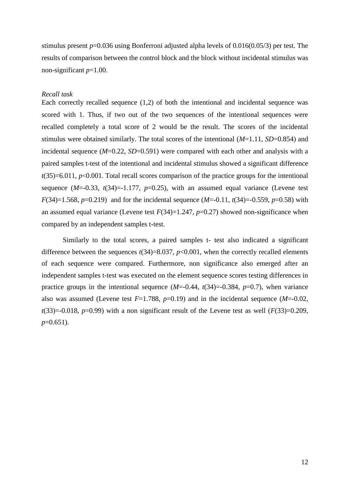stimulus present *p*=0.036 using Bonferroni adjusted alpha levels of 0.016(0.05/3) per test. The results of comparison between the control block and the block without incidental stimulus was non-significant *p*=1.00.

### <span id="page-11-0"></span>*Recall task*

Each correctly recalled sequence (1,2) of both the intentional and incidental sequence was scored with 1. Thus, if two out of the two sequences of the intentional sequences were recalled completely a total score of 2 would be the result. The scores of the incidental stimulus were obtained similarly. The total scores of the intentional (*M*=1.11, *SD*=0.854) and incidental sequence  $(M=0.22, SD=0.591)$  were compared with each other and analysis with a paired samples t-test of the intentional and incidental stimulus showed a significant difference *t*(35)=6.011, *p*<0.001. Total recall scores comparison of the practice groups for the intentional sequence  $(M=0.33, t(34)=1.177, p=0.25)$ , with an assumed equal variance (Levene test *F*(34)=1.568, *p*=0.219) and for the incidental sequence (*M*=-0.11, *t*(34)=-0.559, *p*=0.58) with an assumed equal variance (Levene test  $F(34)=1.247$ ,  $p=0.27$ ) showed non-significance when compared by an independent samples t-test.

Similarly to the total scores, a paired samples t- test also indicated a significant difference between the sequences  $t(34)=8.037$ ,  $p<0.001$ , when the correctly recalled elements of each sequence were compared. Furthermore, non significance also emerged after an independent samples t-test was executed on the element sequence scores testing differences in practice groups in the intentional sequence  $(M=0.44, t(34)=0.384, p=0.7)$ , when variance also was assumed (Levene test *F*=1.788, *p*=0.19) and in the incidental sequence (*M*=-0.02,  $t(33)=0.018$ ,  $p=0.99$ ) with a non significant result of the Levene test as well ( $F(33)=0.209$ , *p*=0.651).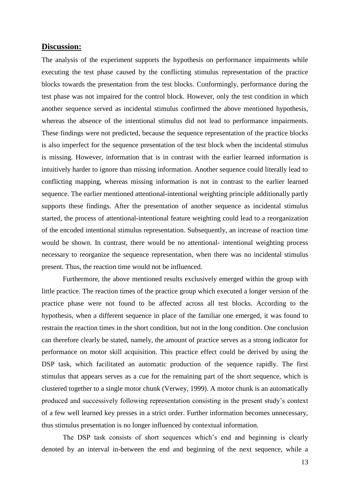#### <span id="page-12-0"></span>**Discussion:**

The analysis of the experiment supports the hypothesis on performance impairments while executing the test phase caused by the conflicting stimulus representation of the practice blocks towards the presentation from the test blocks. Conformingly, performance during the test phase was not impaired for the control block. However, only the test condition in which another sequence served as incidental stimulus confirmed the above mentioned hypothesis, whereas the absence of the intentional stimulus did not lead to performance impairments. These findings were not predicted, because the sequence representation of the practice blocks is also imperfect for the sequence presentation of the test block when the incidental stimulus is missing. However, information that is in contrast with the earlier learned information is intuitively harder to ignore than missing information. Another sequence could literally lead to conflicting mapping, whereas missing information is not in contrast to the earlier learned sequence. The earlier mentioned attentional-intentional weighting principle additionally partly supports these findings. After the presentation of another sequence as incidental stimulus started, the process of attentional-intentional feature weighting could lead to a reorganization of the encoded intentional stimulus representation. Subsequently, an increase of reaction time would be shown. In contrast, there would be no attentional- intentional weighting process necessary to reorganize the sequence representation, when there was no incidental stimulus present. Thus, the reaction time would not be influenced.

Furthermore, the above mentioned results exclusively emerged within the group with little practice. The reaction times of the practice group which executed a longer version of the practice phase were not found to be affected across all test blocks. According to the hypothesis, when a different sequence in place of the familiar one emerged, it was found to restrain the reaction times in the short condition, but not in the long condition. One conclusion can therefore clearly be stated, namely, the amount of practice serves as a strong indicator for performance on motor skill acquisition. This practice effect could be derived by using the DSP task, which facilitated an automatic production of the sequence rapidly. The first stimulus that appears serves as a cue for the remaining part of the short sequence, which is clustered together to a single motor chunk (Verwey, 1999). A motor chunk is an automatically produced and successively following representation consisting in the present study's context of a few well learned key presses in a strict order. Further information becomes unnecessary, thus stimulus presentation is no longer influenced by contextual information.

The DSP task consists of short sequences which's end and beginning is clearly denoted by an interval in-between the end and beginning of the next sequence, while a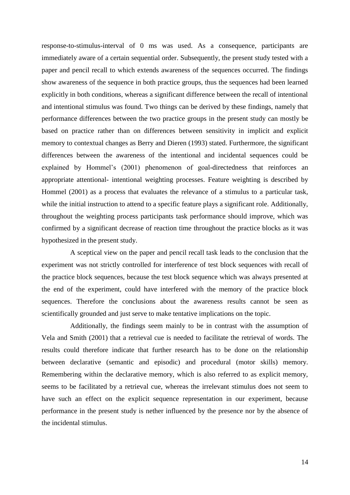response-to-stimulus-interval of 0 ms was used. As a consequence, participants are immediately aware of a certain sequential order. Subsequently, the present study tested with a paper and pencil recall to which extends awareness of the sequences occurred. The findings show awareness of the sequence in both practice groups, thus the sequences had been learned explicitly in both conditions, whereas a significant difference between the recall of intentional and intentional stimulus was found. Two things can be derived by these findings, namely that performance differences between the two practice groups in the present study can mostly be based on practice rather than on differences between sensitivity in implicit and explicit memory to contextual changes as Berry and Dieren (1993) stated. Furthermore, the significant differences between the awareness of the intentional and incidental sequences could be explained by Hommel's (2001) phenomenon of goal-directedness that reinforces an appropriate attentional- intentional weighting processes. Feature weighting is described by Hommel (2001) as a process that evaluates the relevance of a stimulus to a particular task, while the initial instruction to attend to a specific feature plays a significant role. Additionally, throughout the weighting process participants task performance should improve, which was confirmed by a significant decrease of reaction time throughout the practice blocks as it was hypothesized in the present study.

A sceptical view on the paper and pencil recall task leads to the conclusion that the experiment was not strictly controlled for interference of test block sequences with recall of the practice block sequences, because the test block sequence which was always presented at the end of the experiment, could have interfered with the memory of the practice block sequences. Therefore the conclusions about the awareness results cannot be seen as scientifically grounded and just serve to make tentative implications on the topic.

Additionally, the findings seem mainly to be in contrast with the assumption of Vela and Smith (2001) that a retrieval cue is needed to facilitate the retrieval of words. The results could therefore indicate that further research has to be done on the relationship between declarative (semantic and episodic) and procedural (motor skills) memory. Remembering within the declarative memory, which is also referred to as explicit memory, seems to be facilitated by a retrieval cue, whereas the irrelevant stimulus does not seem to have such an effect on the explicit sequence representation in our experiment, because performance in the present study is nether influenced by the presence nor by the absence of the incidental stimulus.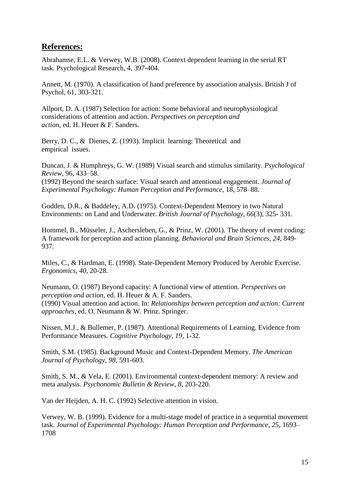## <span id="page-14-0"></span>**References:**

Abrahamse, E.L. & Verwey, W.B. (2008). Context dependent learning in the serial RT task. Psychological Research, 4, 397-404.

Annett, M. (1970). A classification of hand preference by association analysis. British J of Psychol, 61, 303-321.

Allport, D. A. (1987) Selection for action: Some behavioral and neurophysiological considerations of attention and action. *Perspectives on perception and action,* ed. H. Heuer & F. Sanders.

Berry, D. C., & Dienes, Z. (1993). Implicit learning: Theoretical and empirical issues.

Duncan, J. & Humphreys, G. W. (1989) Visual search and stimulus similarity. *Psychological Review,* 96, 433–58. (1992) Beyond the search surface: Visual search and attentional engagement. *Journal of Experimental Psychology: Human Perception and Performance,* 18, 578–88.

Godden, D.R., & Baddeley, A.D. (1975). Context-Dependent Memory in two Natural Environments: on Land and Underwater. *British Journal of Psychology, 66*(3), 325- 331.

Hommel, B., Müsseler, J., Aschersleben, G., & Prinz, W. (2001). The theory of event coding: A framework for perception and action planning. *Behavioral and Brain Sciences*, *24*, 849- 937.

Miles, C., & Hardman, E. (1998). State-Dependent Memory Produced by Aerobic Exercise. *Ergonomics, 40*, 20-28.

Neumann, O. (1987) Beyond capacity: A functional view of attention. *Perspectives on perception and action,* ed. H. Heuer & A. F. Sanders. (1990) Visual attention and action. In: *Relationships between perception and action: Current approaches,* ed. O. Neumann & W. Prinz. Springer.

Nissen, M.J., & Bullemer, P. (1987). Attentional Requirements of Learning. Evidence from Performance Measures. *Cognitive Psychology, 19*, 1-32.

Smith, S.M. (1985). Background Music and Context-Dependent Memory. *The American Journal of Psychology, 98*, 591-603.

Smith, S. M., & Vela, E. (2001). Environmental context-dependent memory: A review and meta analysis. *Psychonomic Bulletin & Review*, *8*, 203-220.

Van der Heijden, A. H. C. (1992) Selective attention in vision.

Verwey, W. B. (1999). Evidence for a multi-stage model of practice in a sequential movement task. *Journal of Experimental Psychology: Human Perception and Performance*, *25*, 1693– 1708